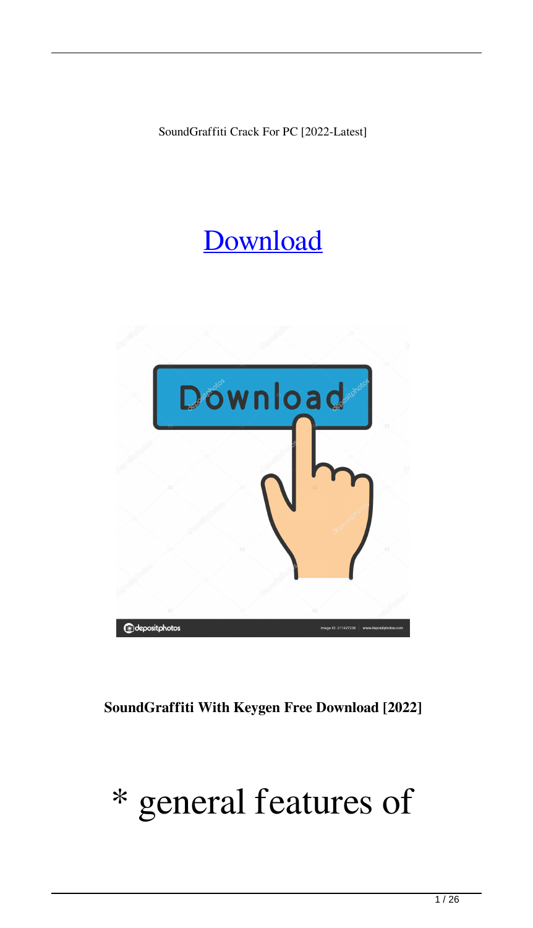SoundGraffiti Crack For PC [2022-Latest]

#### [Download](http://evacdir.com/chartist/nantz.rosenthal/andand/ninenty/U291bmRHcmFmZml0aQU29/ZG93bmxvYWR8UzRzTVdkNWZId3hOalUwTkRNMk5qVTRmSHd5TlRrd2ZId29UU2tnVjI5eVpIQnlaWE56SUZ0WVRVeFNVRU1nVmpJZ1VFUkdYUQ.petroglyph)



**SoundGraffiti With Keygen Free Download [2022]**

#### \* general features of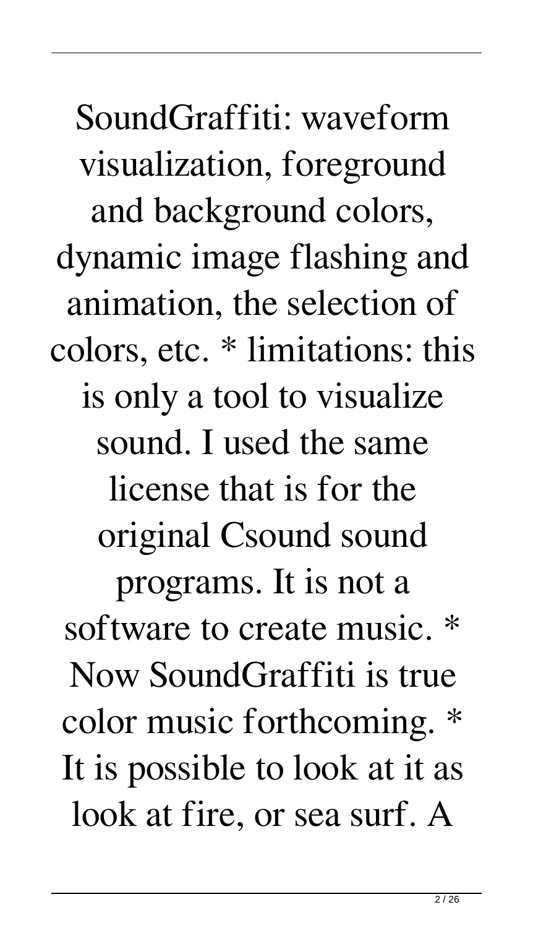SoundGraffiti: waveform visualization, foreground and background colors, dynamic image flashing and animation, the selection of colors, etc. \* limitations: this is only a tool to visualize sound. I used the same license that is for the original Csound sound programs. It is not a software to create music. Now SoundGraffiti is true color music forthcoming. It is possible to look at it as look at fire, or sea surf. A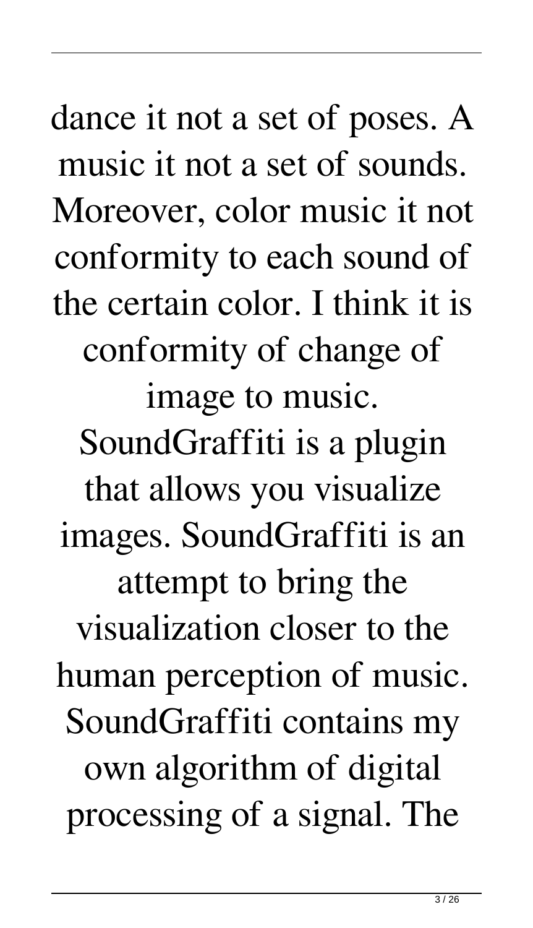dance it not a set of poses. A music it not a set of sounds. Moreover, color music it not conformity to each sound of the certain color. I think it is conformity of change of image to music. SoundGraffiti is a plugin that allows you visualize images. SoundGraffiti is an attempt to bring the visualization closer to the human perception of music. SoundGraffiti contains my own algorithm of digital processing of a signal. The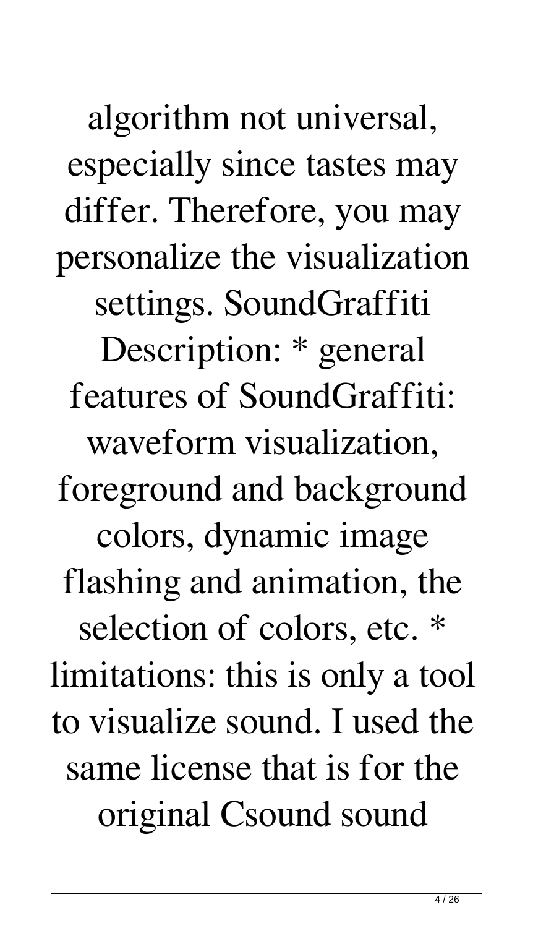algorithm not universal, especially since tastes may differ. Therefore, you may personalize the visualization settings. SoundGraffiti Description: \* general features of SoundGraffiti: waveform visualization, foreground and background colors, dynamic image flashing and animation, the selection of colors, etc. \* limitations: this is only a tool to visualize sound. I used the same license that is for the original Csound sound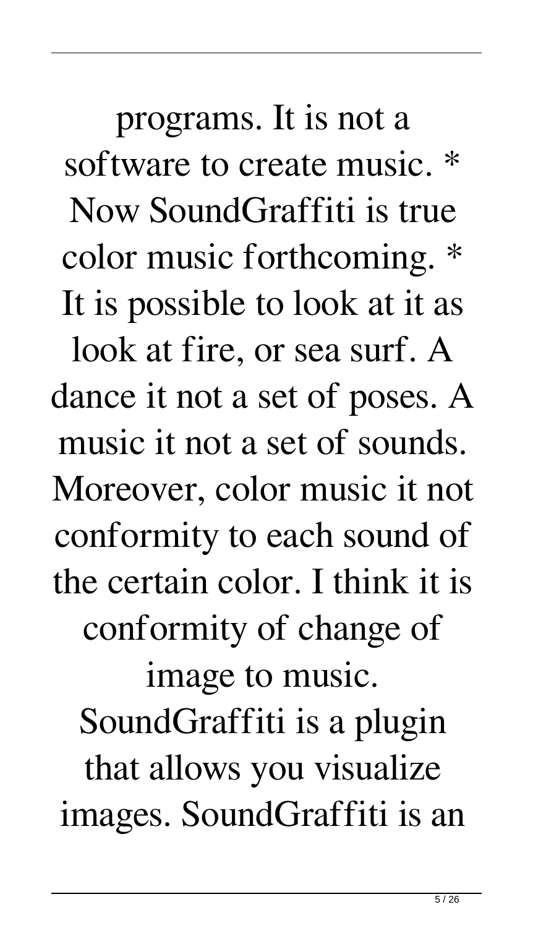programs. It is not a software to create music. \* Now SoundGraffiti is true color music forthcoming. \* It is possible to look at it as look at fire, or sea surf. A dance it not a set of poses. A music it not a set of sounds. Moreover, color music it not conformity to each sound of the certain color. I think it is conformity of change of image to music. SoundGraffiti is a plugin that allows you visualize images. SoundGraffiti is an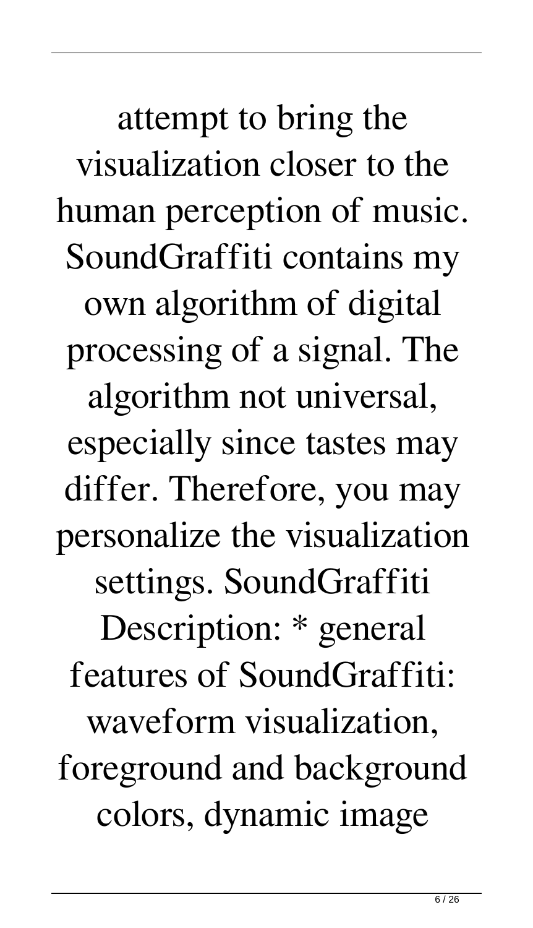attempt to bring the visualization closer to the human perception of music. SoundGraffiti contains my own algorithm of digital processing of a signal. The algorithm not universal, especially since tastes may differ. Therefore, you may personalize the visualization settings. SoundGraffiti Description: \* general features of SoundGraffiti: waveform visualization, foreground and background colors, dynamic image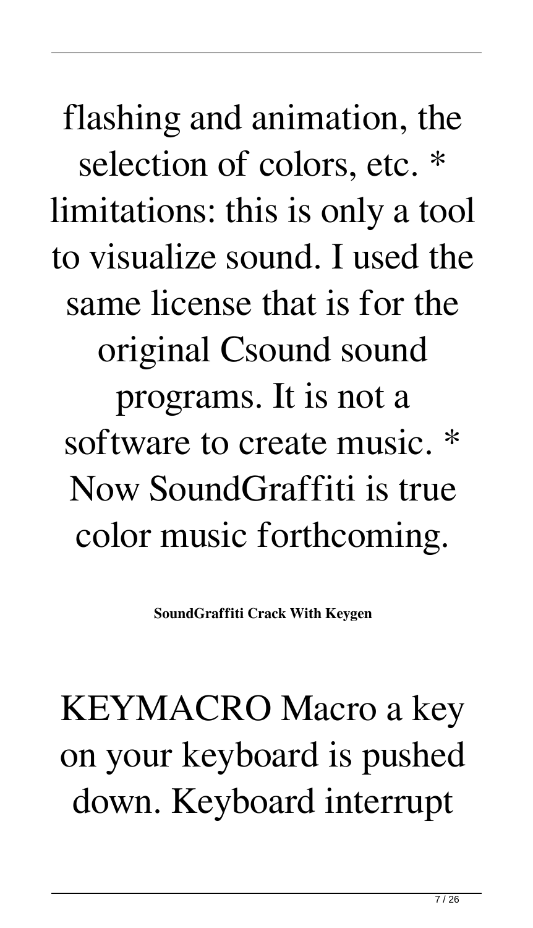flashing and animation, the selection of colors, etc. \* limitations: this is only a tool to visualize sound. I used the same license that is for the original Csound sound programs. It is not a software to create music. \* Now SoundGraffiti is true color music forthcoming.

**SoundGraffiti Crack With Keygen**

## KEYMACRO Macro a key on your keyboard is pushed down. Keyboard interrupt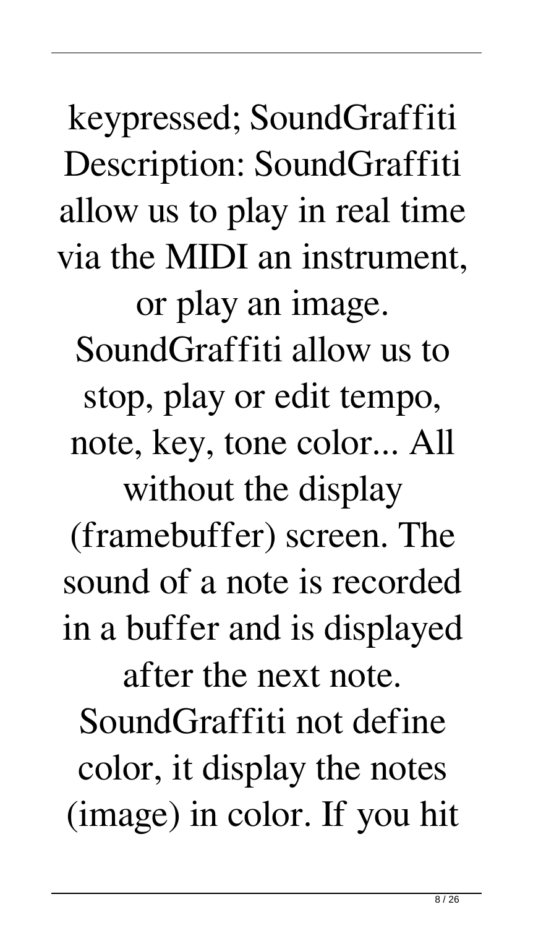keypressed; SoundGraffiti Description: SoundGraffiti allow us to play in real time via the MIDI an instrument, or play an image. SoundGraffiti allow us to stop, play or edit tempo, note, key, tone color... All without the display (framebuffer) screen. The sound of a note is recorded in a buffer and is displayed after the next note. SoundGraffiti not define color, it display the notes (image) in color. If you hit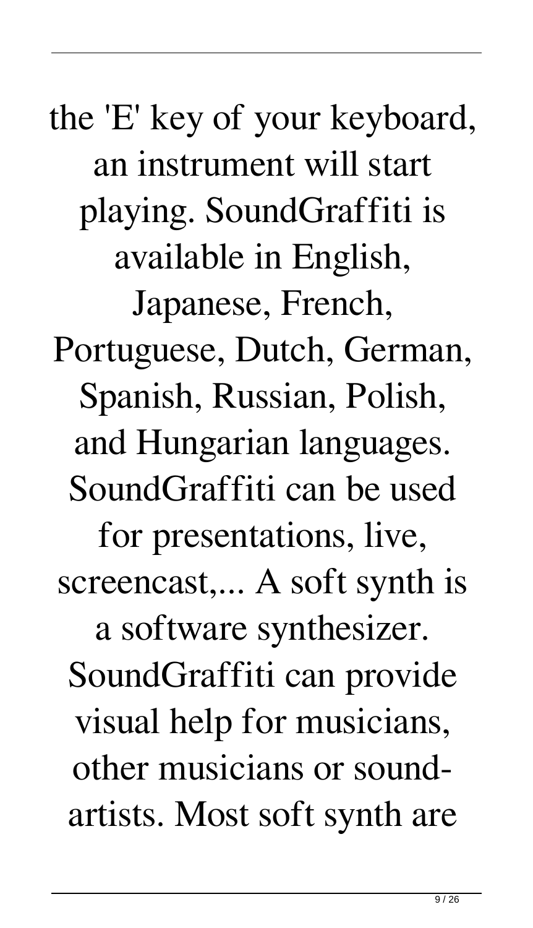the 'E' key of your keyboard, an instrument will start playing. SoundGraffiti is available in English, Japanese, French, Portuguese, Dutch, German, Spanish, Russian, Polish, and Hungarian languages. SoundGraffiti can be used for presentations, live, screencast,... A soft synth is a software synthesizer. SoundGraffiti can provide visual help for musicians, other musicians or soundartists. Most soft synth are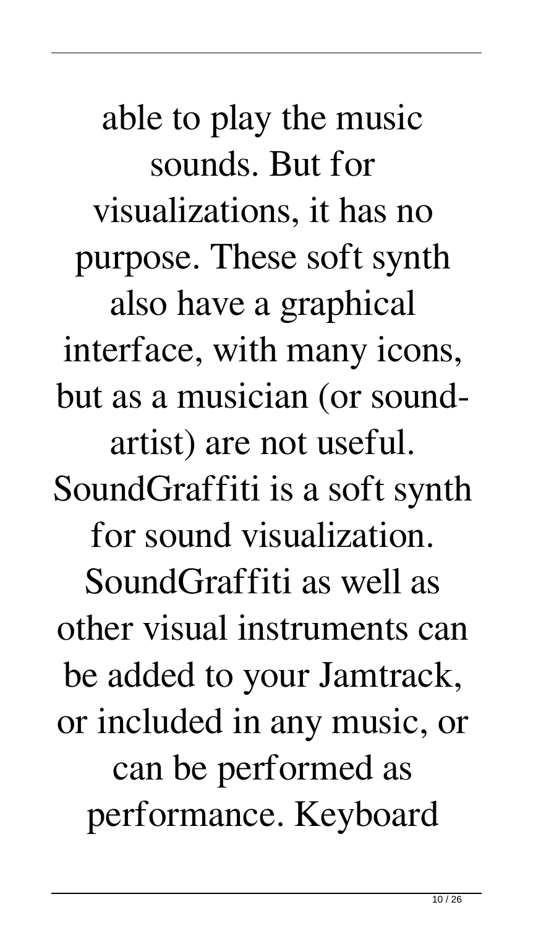able to play the music sounds. But for visualizations, it has no purpose. These soft synth also have a graphical interface, with many icons, but as a musician (or soundartist) are not useful. SoundGraffiti is a soft synth for sound visualization. SoundGraffiti as well as other visual instruments can be added to your Jamtrack, or included in any music, or can be performed as performance. Keyboard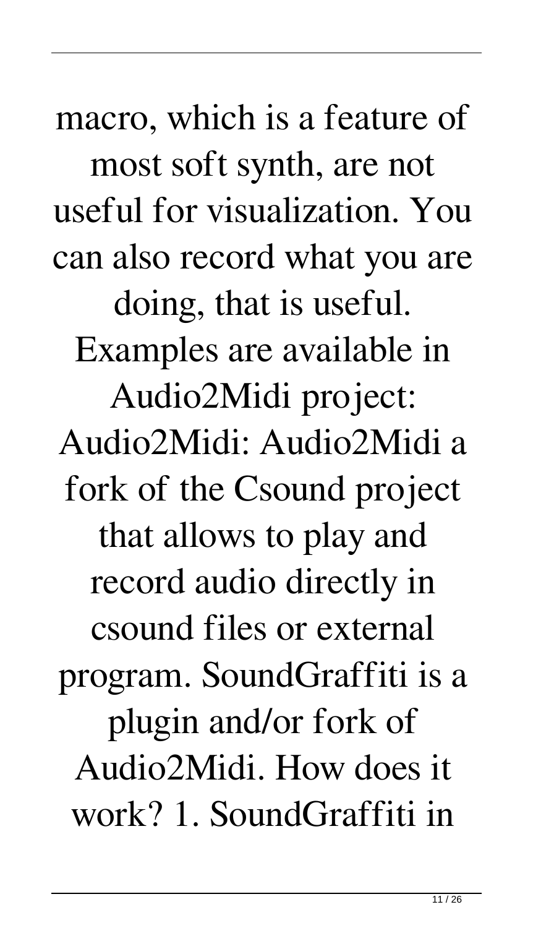macro, which is a feature of most soft synth, are not useful for visualization. You can also record what you are doing, that is useful. Examples are available in Audio2Midi project: Audio2Midi: Audio2Midi a fork of the Csound project that allows to play and record audio directly in csound files or external program. SoundGraffiti is a plugin and/or fork of Audio2Midi. How does it work? 1. SoundGraffiti in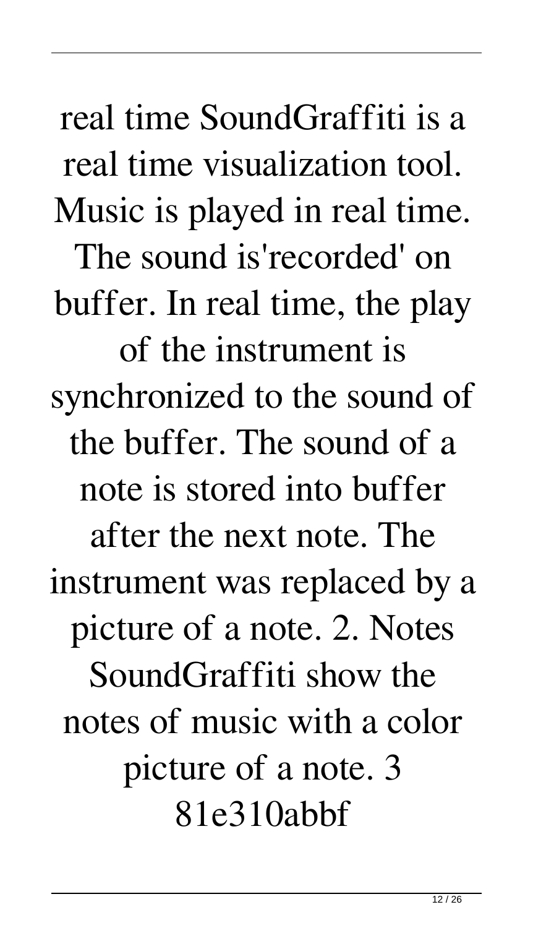real time SoundGraffiti is a real time visualization tool. Music is played in real time. The sound is'recorded' on buffer. In real time, the play of the instrument is synchronized to the sound of the buffer. The sound of a note is stored into buffer after the next note. The instrument was replaced by a picture of a note. 2. Notes SoundGraffiti show the notes of music with a color picture of a note. 3 81e310abbf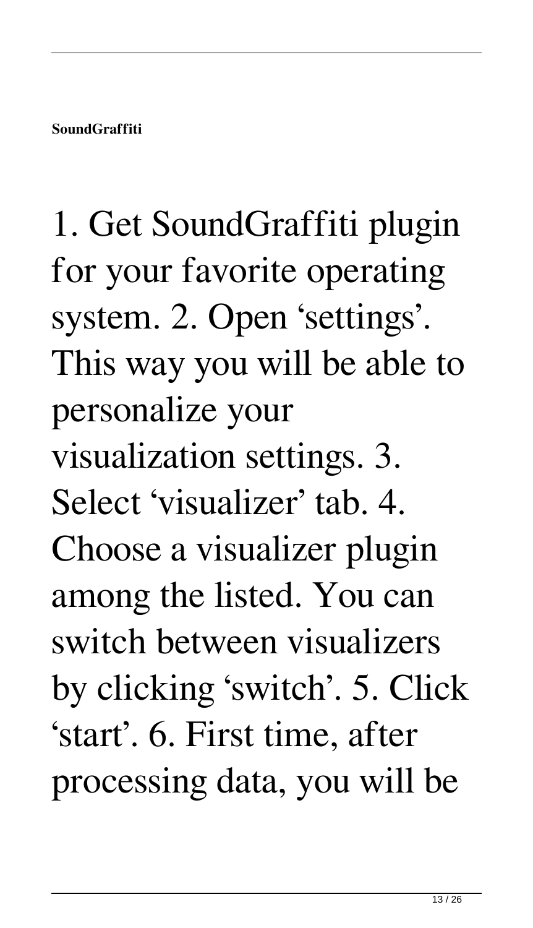1. Get SoundGraffiti plugin for your favorite operating system. 2. Open 'settings'. This way you will be able to personalize your visualization settings. 3. Select 'visualizer' tab. 4. Choose a visualizer plugin among the listed. You can switch between visualizers by clicking 'switch'. 5. Click 'start'. 6. First time, after processing data, you will be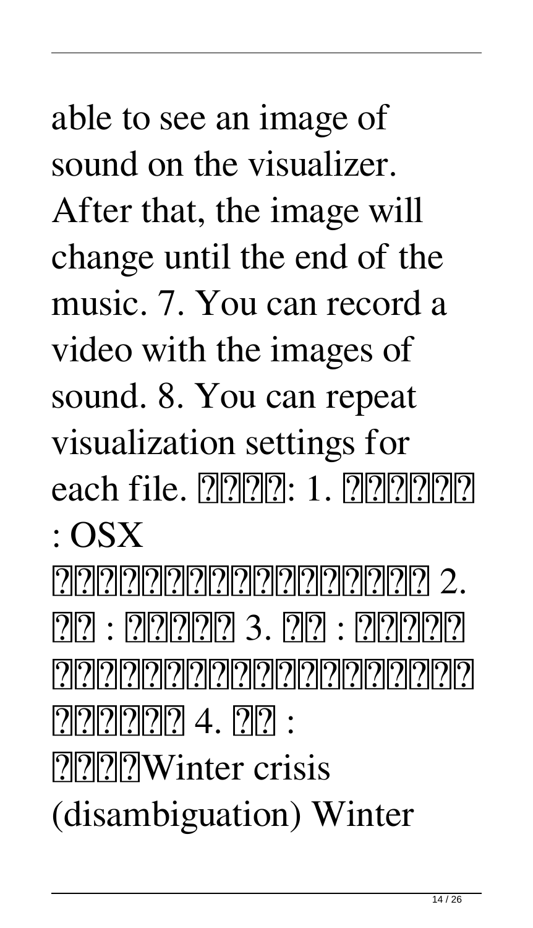able to see an image of sound on the visualizer. After that, the image will change until the end of the music. 7. You can record a video with the images of sound. 8. You can repeat visualization settings for each file.  $[2|2|2|2]$ : 1.  $[2|2|2|2|2]$ : OSX [기기기기기기기기기기기기] 2.  $[2] [2] : [2] [2] [2] [2] [2]$  3.  $[2] [2] : [2] [2] [2] [2]$ 222222222222222222222222  $[?][?][?][?][?4. 20]$  : **PPPP**Winter crisis

(disambiguation) Winter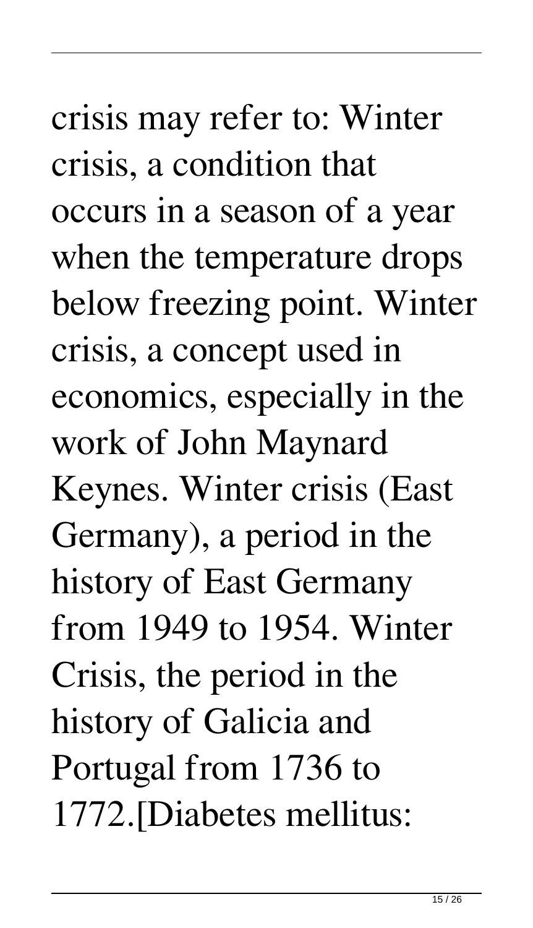crisis may refer to: Winter crisis, a condition that occurs in a season of a year when the temperature drops below freezing point. Winter crisis, a concept used in economics, especially in the work of John Maynard Keynes. Winter crisis (East Germany), a period in the history of East Germany from 1949 to 1954. Winter Crisis, the period in the history of Galicia and Portugal from 1736 to 1772.[Diabetes mellitus: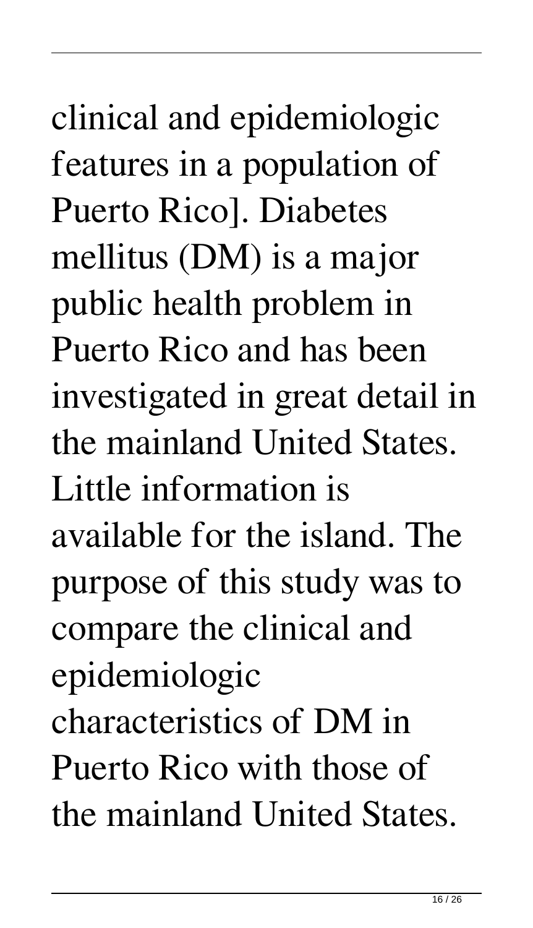# clinical and epidemiologic features in a population of Puerto Rico]. Diabetes mellitus (DM) is a major public health problem in Puerto Rico and has been investigated in great detail in the mainland United States. Little information is available for the island. The purpose of this study was to compare the clinical and epidemiologic characteristics of DM in Puerto Rico with those of the mainland United States.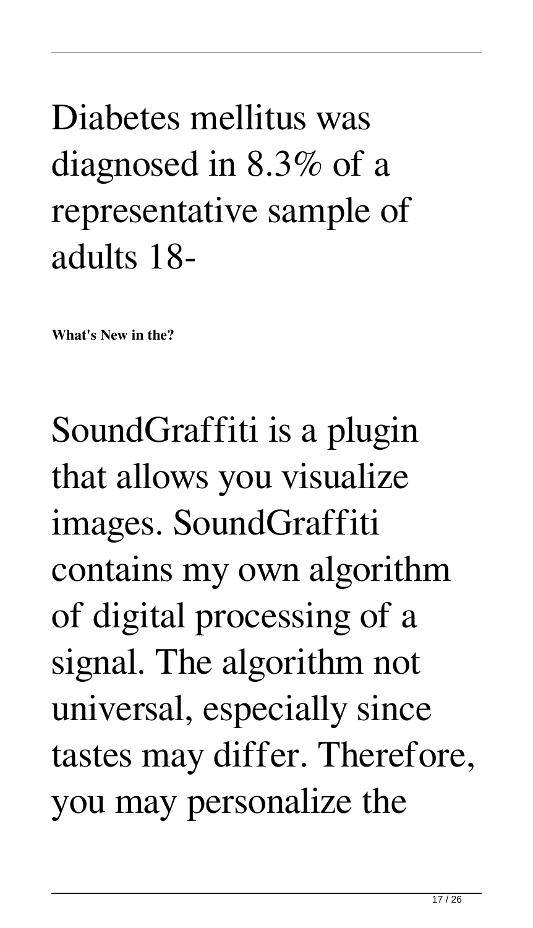#### Diabetes mellitus was diagnosed in 8.3% of a representative sample of adults 18-

**What's New in the?**

SoundGraffiti is a plugin that allows you visualize images. SoundGraffiti contains my own algorithm of digital processing of a signal. The algorithm not universal, especially since tastes may differ. Therefore, you may personalize the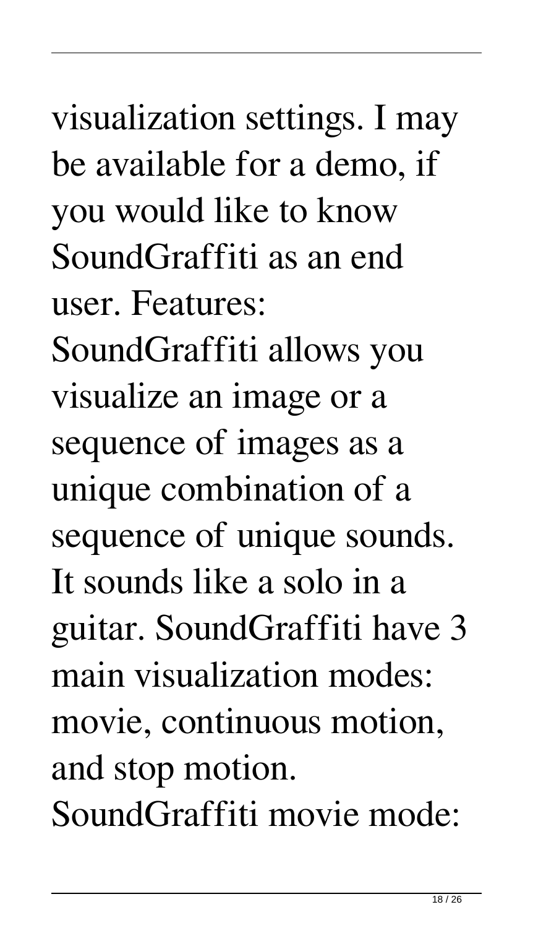visualization settings. I may be available for a demo, if you would like to know SoundGraffiti as an end user. Features: SoundGraffiti allows you visualize an image or a sequence of images as a unique combination of a sequence of unique sounds. It sounds like a solo in a guitar. SoundGraffiti have 3 main visualization modes: movie, continuous motion, and stop motion. SoundGraffiti movie mode: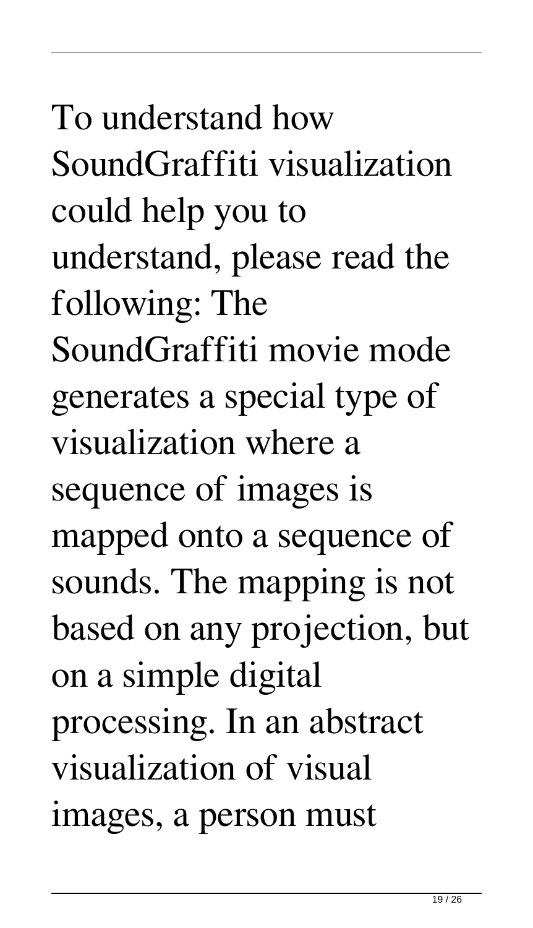To understand how SoundGraffiti visualization could help you to understand, please read the following: The SoundGraffiti movie mode generates a special type of visualization where a sequence of images is mapped onto a sequence of sounds. The mapping is not based on any projection, but on a simple digital processing. In an abstract visualization of visual images, a person must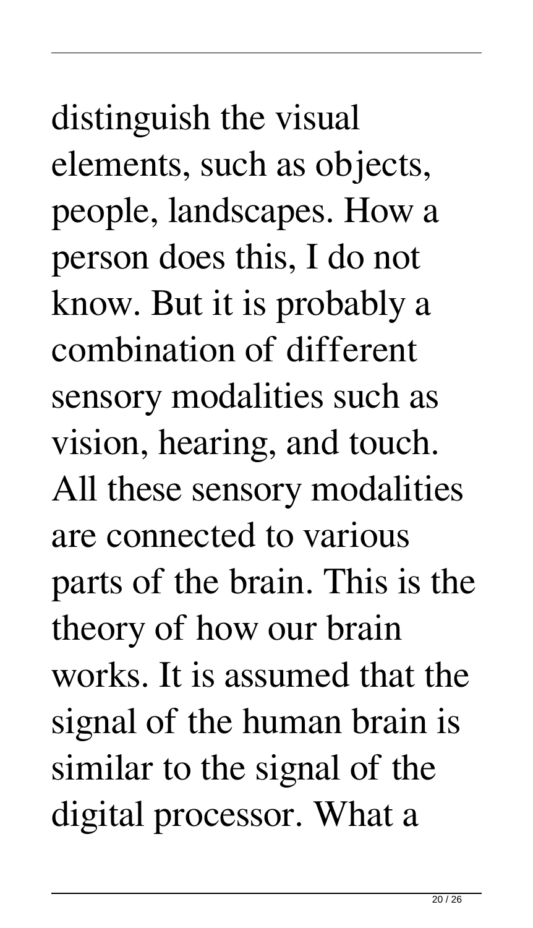distinguish the visual elements, such as objects, people, landscapes. How a person does this, I do not know. But it is probably a combination of different sensory modalities such as vision, hearing, and touch. All these sensory modalities are connected to various parts of the brain. This is the theory of how our brain works. It is assumed that the signal of the human brain is similar to the signal of the digital processor. What a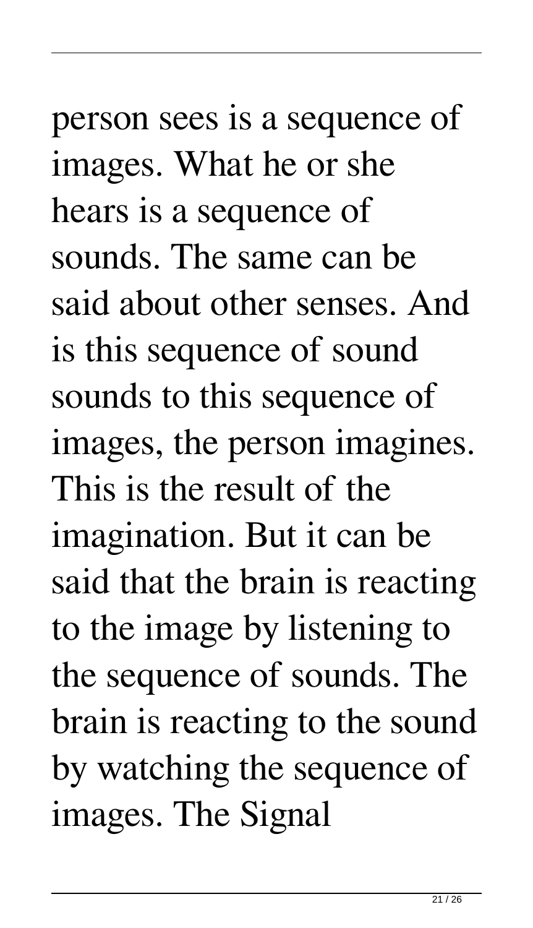person sees is a sequence of images. What he or she hears is a sequence of sounds. The same can be said about other senses. And is this sequence of sound sounds to this sequence of images, the person imagines. This is the result of the imagination. But it can be said that the brain is reacting to the image by listening to the sequence of sounds. The brain is reacting to the sound by watching the sequence of images. The Signal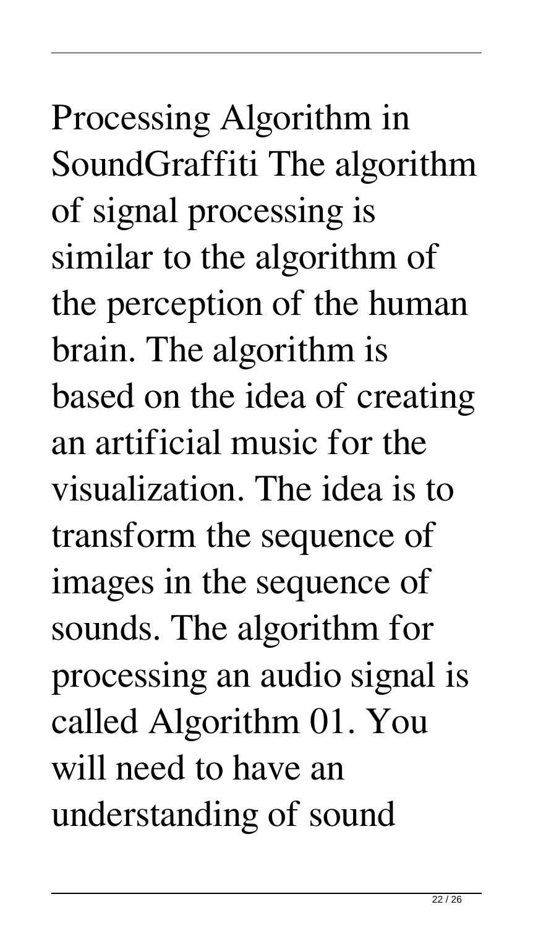Processing Algorithm in SoundGraffiti The algorithm of signal processing is similar to the algorithm of the perception of the human brain. The algorithm is based on the idea of creating an artificial music for the visualization. The idea is to transform the sequence of images in the sequence of sounds. The algorithm for processing an audio signal is called Algorithm 01. You will need to have an understanding of sound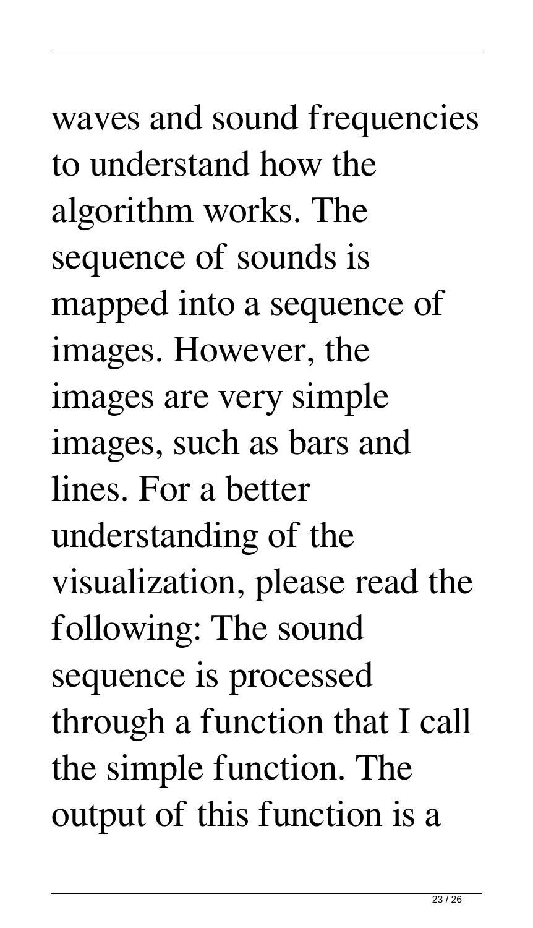# waves and sound frequencies to understand how the algorithm works. The sequence of sounds is mapped into a sequence of images. However, the images are very simple images, such as bars and lines. For a better understanding of the visualization, please read the following: The sound sequence is processed through a function that I call the simple function. The output of this function is a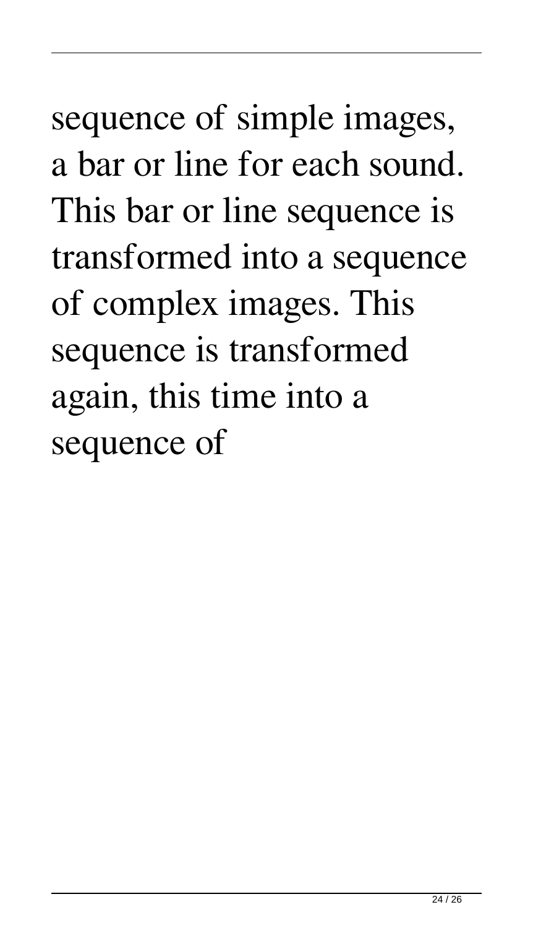sequence of simple images, a bar or line for each sound. This bar or line sequence is transformed into a sequence of complex images. This sequence is transformed again, this time into a sequence of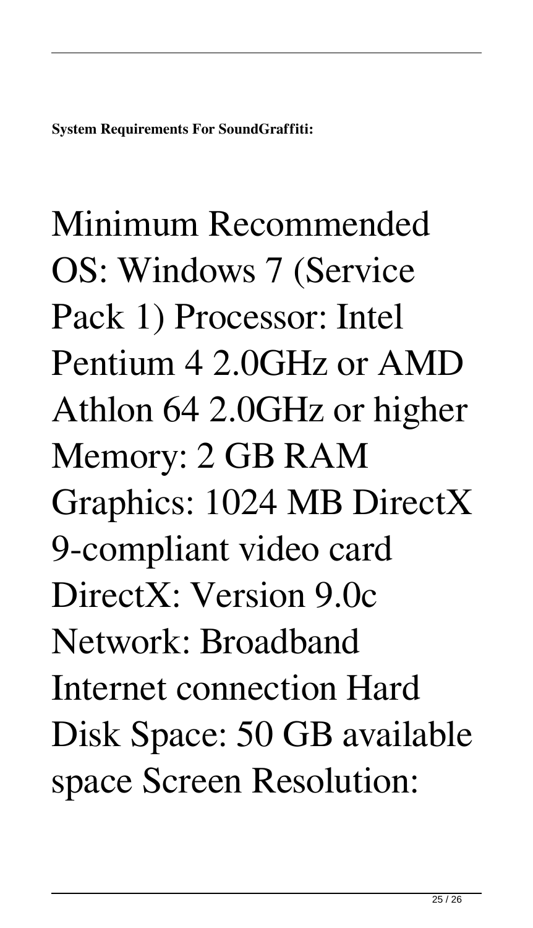# Minimum Recommended OS: Windows 7 (Service Pack 1) Processor: Intel Pentium 4 2.0GHz or AMD Athlon 64 2.0GHz or higher Memory: 2 GB RAM Graphics: 1024 MB DirectX 9-compliant video card DirectX: Version 9.0c Network: Broadband Internet connection Hard Disk Space: 50 GB available space Screen Resolution: